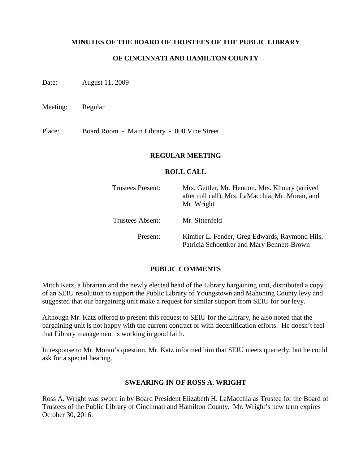### **MINUTES OF THE BOARD OF TRUSTEES OF THE PUBLIC LIBRARY**

## **OF CINCINNATI AND HAMILTON COUNTY**

Date: August 11, 2009

Meeting: Regular

Place: Board Room - Main Library - 800 Vine Street

### **REGULAR MEETING**

#### **ROLL CALL**

| <b>Trustees Present:</b> | Mrs. Gettler, Mr. Hendon, Mrs. Khoury (arrived<br>after roll call), Mrs. LaMacchia, Mr. Moran, and<br>Mr. Wright |
|--------------------------|------------------------------------------------------------------------------------------------------------------|
| Trustees Absent:         | Mr. Sittenfeld                                                                                                   |
| Present:                 | Kimber L. Fender, Greg Edwards, Raymond Hils,<br>Patricia Schoettker and Mary Bennett-Brown                      |

#### **PUBLIC COMMENTS**

Mitch Katz, a librarian and the newly elected head of the Library bargaining unit, distributed a copy of an SEIU resolution to support the Public Library of Youngstown and Mahoning County levy and suggested that our bargaining unit make a request for similar support from SEIU for our levy.

Although Mr. Katz offered to present this request to SEIU for the Library, he also noted that the bargaining unit is not happy with the current contract or with decertification efforts. He doesn't feel that Library management is working in good faith.

In response to Mr. Moran's question, Mr. Katz informed him that SEIU meets quarterly, but he could ask for a special hearing.

### **SWEARING IN OF ROSS A. WRIGHT**

Ross A. Wright was sworn in by Board President Elizabeth H. LaMacchia as Trustee for the Board of Trustees of the Public Library of Cincinnati and Hamilton County. Mr. Wright's new term expires October 30, 2016.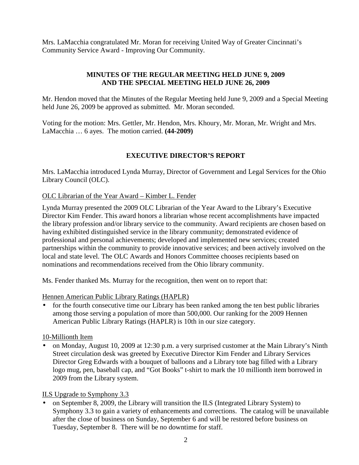Mrs. LaMacchia congratulated Mr. Moran for receiving United Way of Greater Cincinnati's Community Service Award - Improving Our Community.

## **MINUTES OF THE REGULAR MEETING HELD JUNE 9, 2009 AND THE SPECIAL MEETING HELD JUNE 26, 2009**

Mr. Hendon moved that the Minutes of the Regular Meeting held June 9, 2009 and a Special Meeting held June 26, 2009 be approved as submitted. Mr. Moran seconded.

Voting for the motion: Mrs. Gettler, Mr. Hendon, Mrs. Khoury, Mr. Moran, Mr. Wright and Mrs. LaMacchia … 6 ayes. The motion carried. **(44-2009)**

# **EXECUTIVE DIRECTOR'S REPORT**

Mrs. LaMacchia introduced Lynda Murray, Director of Government and Legal Services for the Ohio Library Council (OLC).

## OLC Librarian of the Year Award – Kimber L. Fender

Lynda Murray presented the 2009 OLC Librarian of the Year Award to the Library's Executive Director Kim Fender. This award honors a librarian whose recent accomplishments have impacted the library profession and/or library service to the community. Award recipients are chosen based on having exhibited distinguished service in the library community; demonstrated evidence of professional and personal achievements; developed and implemented new services; created partnerships within the community to provide innovative services; and been actively involved on the local and state level. The OLC Awards and Honors Committee chooses recipients based on nominations and recommendations received from the Ohio library community.

Ms. Fender thanked Ms. Murray for the recognition, then went on to report that:

Hennen American Public Library Ratings (HAPLR)

• for the fourth consecutive time our Library has been ranked among the ten best public libraries among those serving a population of more than 500,000. Our ranking for the 2009 Hennen American Public Library Ratings (HAPLR) is 10th in our size category.

## 10-Millionth Item

• on Monday, August 10, 2009 at 12:30 p.m. a very surprised customer at the Main Library's Ninth Street circulation desk was greeted by Executive Director Kim Fender and Library Services Director Greg Edwards with a bouquet of balloons and a Library tote bag filled with a Library logo mug, pen, baseball cap, and "Got Books" t-shirt to mark the 10 millionth item borrowed in 2009 from the Library system.

ILS Upgrade to Symphony 3.3

• on September 8, 2009, the Library will transition the ILS (Integrated Library System) to Symphony 3.3 to gain a variety of enhancements and corrections. The catalog will be unavailable after the close of business on Sunday, September 6 and will be restored before business on Tuesday, September 8. There will be no downtime for staff.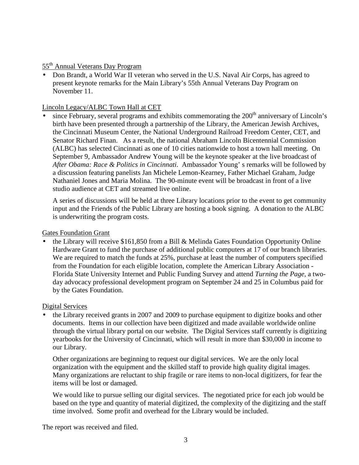55th Annual Veterans Day Program

• Don Brandt, a World War II veteran who served in the U.S. Naval Air Corps, has agreed to present keynote remarks for the Main Library's 55th Annual Veterans Day Program on November 11.

## Lincoln Legacy/ALBC Town Hall at CET

since February, several programs and exhibits commemorating the 200<sup>th</sup> anniversary of Lincoln's birth have been presented through a partnership of the Library, the American Jewish Archives, the Cincinnati Museum Center, the National Underground Railroad Freedom Center, CET, and Senator Richard Finan. As a result, the national Abraham Lincoln Bicentennial Commission (ALBC) has selected Cincinnati as one of 10 cities nationwide to host a town hall meeting. On September 9, Ambassador Andrew Young will be the keynote speaker at the live broadcast of *After Obama: Race & Politics in Cincinnati*. Ambassador Young' s remarks will be followed by a discussion featuring panelists Jan Michele Lemon-Kearney, Father Michael Graham, Judge Nathaniel Jones and Maria Molina. The 90-minute event will be broadcast in front of a live studio audience at CET and streamed live online.

A series of discussions will be held at three Library locations prior to the event to get community input and the Friends of the Public Library are hosting a book signing. A donation to the ALBC is underwriting the program costs.

### Gates Foundation Grant

• the Library will receive \$161,850 from a Bill & Melinda Gates Foundation Opportunity Online Hardware Grant to fund the purchase of additional public computers at 17 of our branch libraries. We are required to match the funds at 25%, purchase at least the number of computers specified from the Foundation for each eligible location, complete the American Library Association - Florida State University Internet and Public Funding Survey and attend *Turning the Page*, a twoday advocacy professional development program on September 24 and 25 in Columbus paid for by the Gates Foundation.

## Digital Services

• the Library received grants in 2007 and 2009 to purchase equipment to digitize books and other documents. Items in our collection have been digitized and made available worldwide online through the virtual library portal on our website. The Digital Services staff currently is digitizing yearbooks for the University of Cincinnati, which will result in more than \$30,000 in income to our Library.

Other organizations are beginning to request our digital services. We are the only local organization with the equipment and the skilled staff to provide high quality digital images. Many organizations are reluctant to ship fragile or rare items to non-local digitizers, for fear the items will be lost or damaged.

We would like to pursue selling our digital services. The negotiated price for each job would be based on the type and quantity of material digitized, the complexity of the digitizing and the staff time involved. Some profit and overhead for the Library would be included.

The report was received and filed.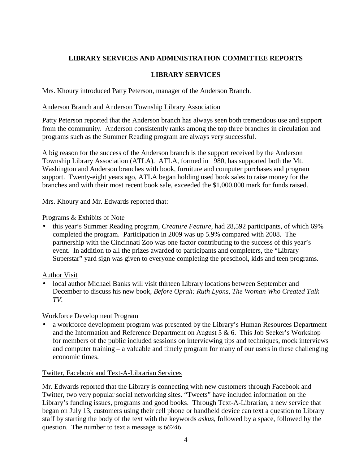# **LIBRARY SERVICES AND ADMINISTRATION COMMITTEE REPORTS**

## **LIBRARY SERVICES**

Mrs. Khoury introduced Patty Peterson, manager of the Anderson Branch.

### Anderson Branch and Anderson Township Library Association

Patty Peterson reported that the Anderson branch has always seen both tremendous use and support from the community. Anderson consistently ranks among the top three branches in circulation and programs such as the Summer Reading program are always very successful.

A big reason for the success of the Anderson branch is the support received by the Anderson Township Library Association (ATLA). ATLA, formed in 1980, has supported both the Mt. Washington and Anderson branches with book, furniture and computer purchases and program support. Twenty-eight years ago, ATLA began holding used book sales to raise money for the branches and with their most recent book sale, exceeded the \$1,000,000 mark for funds raised.

Mrs. Khoury and Mr. Edwards reported that:

### Programs & Exhibits of Note

• this year's Summer Reading program, *Creature Feature*, had 28,592 participants, of which 69% completed the program. Participation in 2009 was up 5.9% compared with 2008. The partnership with the Cincinnati Zoo was one factor contributing to the success of this year's event. In addition to all the prizes awarded to participants and completers, the "Library Superstar" yard sign was given to everyone completing the preschool, kids and teen programs.

## Author Visit

• local author Michael Banks will visit thirteen Library locations between September and December to discuss his new book, *Before Oprah: Ruth Lyons, The Woman Who Created Talk TV*.

## Workforce Development Program

• a workforce development program was presented by the Library's Human Resources Department and the Information and Reference Department on August 5  $\&$  6. This Job Seeker's Workshop for members of the public included sessions on interviewing tips and techniques, mock interviews and computer training – a valuable and timely program for many of our users in these challenging economic times.

### Twitter, Facebook and Text-A-Librarian Services

Mr. Edwards reported that the Library is connecting with new customers through Facebook and Twitter, two very popular social networking sites. "Tweets" have included information on the Library's funding issues, programs and good books. Through Text-A-Librarian, a new service that began on July 13, customers using their cell phone or handheld device can text a question to Library staff by starting the body of the text with the keywords *askus*, followed by a space, followed by the question. The number to text a message is *66746*.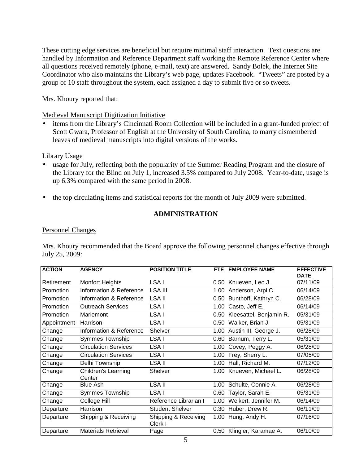These cutting edge services are beneficial but require minimal staff interaction. Text questions are handled by Information and Reference Department staff working the Remote Reference Center where all questions received remotely (phone, e-mail, text) are answered. Sandy Bolek, the Internet Site Coordinator who also maintains the Library's web page, updates Facebook. "Tweets" are posted by a group of 10 staff throughout the system, each assigned a day to submit five or so tweets.

Mrs. Khoury reported that:

Medieval Manuscript Digitization Initiative

• items from the Library's Cincinnati Room Collection will be included in a grant-funded project of Scott Gwara, Professor of English at the University of South Carolina, to marry dismembered leaves of medieval manuscripts into digital versions of the works.

Library Usage

- usage for July, reflecting both the popularity of the Summer Reading Program and the closure of the Library for the Blind on July 1, increased 3.5% compared to July 2008. Year-to-date, usage is up 6.3% compared with the same period in 2008.
- the top circulating items and statistical reports for the month of July 2009 were submitted.

## **ADMINISTRATION**

### Personnel Changes

Mrs. Khoury recommended that the Board approve the following personnel changes effective through July 25, 2009:

| <b>ACTION</b> | <b>AGENCY</b>                        | <b>POSITION TITLE</b>           |      | FTE EMPLOYEE NAME       | <b>EFFECTIVE</b><br><b>DATE</b> |
|---------------|--------------------------------------|---------------------------------|------|-------------------------|---------------------------------|
| Retirement    | <b>Monfort Heights</b>               | LSA I                           | 0.50 | Knueven, Leo J.         | 07/11/09                        |
| Promotion     | Information & Reference              | LSA III                         | 1.00 | Anderson, Arpi C.       | 06/14/09                        |
| Promotion     | Information & Reference              | <b>LSA II</b>                   | 0.50 | Bunthoff, Kathryn C.    | 06/28/09                        |
| Promotion     | <b>Outreach Services</b>             | LSA I                           | 1.00 | Casto, Jeff E.          | 06/14/09                        |
| Promotion     | Mariemont                            | LSA I                           | 0.50 | Kleesattel, Benjamin R. | 05/31/09                        |
| Appointment   | Harrison                             | LSA I                           | 0.50 | Walker, Brian J.        | 05/31/09                        |
| Change        | Information & Reference              | Shelver                         | 1.00 | Austin III, George J.   | 06/28/09                        |
| Change        | <b>Symmes Township</b>               | LSA I                           | 0.60 | Barnum, Terry L.        | 05/31/09                        |
| Change        | <b>Circulation Services</b>          | LSA I                           | 1.00 | Covey, Peggy A.         | 06/28/09                        |
| Change        | <b>Circulation Services</b>          | LSA I                           | 1.00 | Frey, Sherry L.         | 07/05/09                        |
| Change        | Delhi Township                       | LSA II                          | 1.00 | Hall, Richard M.        | 07/12/09                        |
| Change        | <b>Children's Learning</b><br>Center | <b>Shelver</b>                  | 1.00 | Knueven, Michael L.     | 06/28/09                        |
| Change        | <b>Blue Ash</b>                      | <b>LSA II</b>                   | 1.00 | Schulte, Connie A.      | 06/28/09                        |
| Change        | <b>Symmes Township</b>               | LSA I                           | 0.60 | Taylor, Sarah E.        | 05/31/09                        |
| Change        | College Hill                         | Reference Librarian I           | 1.00 | Weikert, Jennifer M.    | 06/14/09                        |
| Departure     | Harrison                             | <b>Student Shelver</b>          | 0.30 | Huber, Drew R.          | 06/11/09                        |
| Departure     | Shipping & Receiving                 | Shipping & Receiving<br>Clerk I | 1.00 | Hung, Andy H.           | 07/16/09                        |
| Departure     | <b>Materials Retrieval</b>           | Page                            | 0.50 | Klingler, Karamae A.    | 06/10/09                        |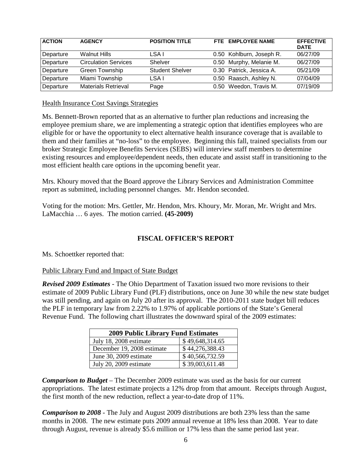| <b>ACTION</b> | <b>AGENCY</b>               | <b>POSITION TITLE</b>  | FTE EMPLOYEE NAME        | <b>EFFECTIVE</b><br><b>DATE</b> |
|---------------|-----------------------------|------------------------|--------------------------|---------------------------------|
| Departure     | <b>Walnut Hills</b>         | LSA I                  | 0.50 Kohlburn, Joseph R. | 06/27/09                        |
| Departure     | <b>Circulation Services</b> | Shelver                | 0.50 Murphy, Melanie M.  | 06/27/09                        |
| Departure     | Green Township              | <b>Student Shelver</b> | 0.30 Patrick, Jessica A. | 05/21/09                        |
| Departure     | Miami Township              | LSA I                  | 0.50 Raasch, Ashley N.   | 07/04/09                        |
| Departure     | Materials Retrieval         | Page                   | 0.50 Weedon, Travis M.   | 07/19/09                        |

Health Insurance Cost Savings Strategies

Ms. Bennett-Brown reported that as an alternative to further plan reductions and increasing the employee premium share, we are implementing a strategic option that identifies employees who are eligible for or have the opportunity to elect alternative health insurance coverage that is available to them and their families at "no-loss" to the employee. Beginning this fall, trained specialists from our broker Strategic Employee Benefits Services (SEBS) will interview staff members to determine existing resources and employee/dependent needs, then educate and assist staff in transitioning to the most efficient health care options in the upcoming benefit year.

Mrs. Khoury moved that the Board approve the Library Services and Administration Committee report as submitted, including personnel changes. Mr. Hendon seconded.

Voting for the motion: Mrs. Gettler, Mr. Hendon, Mrs. Khoury, Mr. Moran, Mr. Wright and Mrs. LaMacchia … 6 ayes. The motion carried. **(45-2009)**

## **FISCAL OFFICER'S REPORT**

Ms. Schoettker reported that:

Public Library Fund and Impact of State Budget

*Revised 2009 Estimates* - The Ohio Department of Taxation issued two more revisions to their estimate of 2009 Public Library Fund (PLF) distributions, once on June 30 while the new state budget was still pending, and again on July 20 after its approval. The 2010-2011 state budget bill reduces the PLF in temporary law from 2.22% to 1.97% of applicable portions of the State's General Revenue Fund. The following chart illustrates the downward spiral of the 2009 estimates:

| <b>2009 Public Library Fund Estimates</b> |                 |  |
|-------------------------------------------|-----------------|--|
| July 18, 2008 estimate                    | \$49,648,314.65 |  |
| December 19, 2008 estimate                | \$44,276,388.43 |  |
| June 30, 2009 estimate                    | \$40,566,732.59 |  |
| July 20, 2009 estimate                    | \$39,003,611.48 |  |

*Comparison to Budget* – The December 2009 estimate was used as the basis for our current appropriations. The latest estimate projects a 12% drop from that amount. Receipts through August, the first month of the new reduction, reflect a year-to-date drop of 11%.

*Comparison to 2008* - The July and August 2009 distributions are both 23% less than the same months in 2008. The new estimate puts 2009 annual revenue at 18% less than 2008. Year to date through August, revenue is already \$5.6 million or 17% less than the same period last year.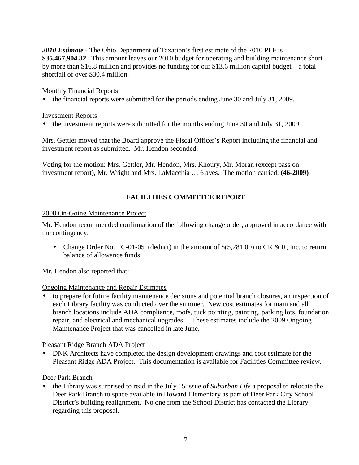*2010 Estimate* - The Ohio Department of Taxation's first estimate of the 2010 PLF is **\$35,467,904.82**. This amount leaves our 2010 budget for operating and building maintenance short by more than \$16.8 million and provides no funding for our \$13.6 million capital budget – a total shortfall of over \$30.4 million.

### Monthly Financial Reports

• the financial reports were submitted for the periods ending June 30 and July 31, 2009.

### Investment Reports

• the investment reports were submitted for the months ending June 30 and July 31, 2009.

Mrs. Gettler moved that the Board approve the Fiscal Officer's Report including the financial and investment report as submitted. Mr. Hendon seconded.

Voting for the motion: Mrs. Gettler, Mr. Hendon, Mrs. Khoury, Mr. Moran (except pass on investment report), Mr. Wright and Mrs. LaMacchia … 6 ayes. The motion carried. **(46-2009)**

## **FACILITIES COMMITTEE REPORT**

#### 2008 On-Going Maintenance Project

Mr. Hendon recommended confirmation of the following change order, approved in accordance with the contingency:

• Change Order No. TC-01-05 (deduct) in the amount of  $\$(5,281.00)$  to CR & R, Inc. to return balance of allowance funds.

Mr. Hendon also reported that:

### Ongoing Maintenance and Repair Estimates

• to prepare for future facility maintenance decisions and potential branch closures, an inspection of each Library facility was conducted over the summer. New cost estimates for main and all branch locations include ADA compliance, roofs, tuck pointing, painting, parking lots, foundation repair, and electrical and mechanical upgrades. These estimates include the 2009 Ongoing Maintenance Project that was cancelled in late June.

Pleasant Ridge Branch ADA Project

• DNK Architects have completed the design development drawings and cost estimate for the Pleasant Ridge ADA Project. This documentation is available for Facilities Committee review.

## Deer Park Branch

• the Library was surprised to read in the July 15 issue of *Suburban Life* a proposal to relocate the Deer Park Branch to space available in Howard Elementary as part of Deer Park City School District's building realignment. No one from the School District has contacted the Library regarding this proposal.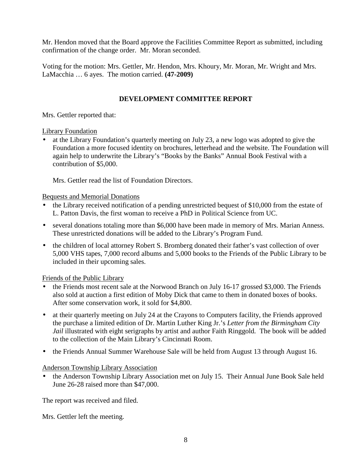Mr. Hendon moved that the Board approve the Facilities Committee Report as submitted, including confirmation of the change order. Mr. Moran seconded.

Voting for the motion: Mrs. Gettler, Mr. Hendon, Mrs. Khoury, Mr. Moran, Mr. Wright and Mrs. LaMacchia … 6 ayes. The motion carried. **(47-2009)**

## **DEVELOPMENT COMMITTEE REPORT**

Mrs. Gettler reported that:

### Library Foundation

• at the Library Foundation's quarterly meeting on July 23, a new logo was adopted to give the Foundation a more focused identity on brochures, letterhead and the website. The Foundation will again help to underwrite the Library's "Books by the Banks" Annual Book Festival with a contribution of \$5,000.

Mrs. Gettler read the list of Foundation Directors.

## Bequests and Memorial Donations

- the Library received notification of a pending unrestricted bequest of \$10,000 from the estate of L. Patton Davis, the first woman to receive a PhD in Political Science from UC.
- several donations totaling more than \$6,000 have been made in memory of Mrs. Marian Anness. These unrestricted donations will be added to the Library's Program Fund.
- the children of local attorney Robert S. Bromberg donated their father's vast collection of over 5,000 VHS tapes, 7,000 record albums and 5,000 books to the Friends of the Public Library to be included in their upcoming sales.

## Friends of the Public Library

- the Friends most recent sale at the Norwood Branch on July 16-17 grossed \$3,000. The Friends also sold at auction a first edition of Moby Dick that came to them in donated boxes of books. After some conservation work, it sold for \$4,800.
- at their quarterly meeting on July 24 at the Crayons to Computers facility, the Friends approved the purchase a limited edition of Dr. Martin Luther King Jr.'s *Letter from the Birmingham City Jail* illustrated with eight serigraphs by artist and author Faith Ringgold*.* The book will be added to the collection of the Main Library's Cincinnati Room.
- the Friends Annual Summer Warehouse Sale will be held from August 13 through August 16.

Anderson Township Library Association

• the Anderson Township Library Association met on July 15. Their Annual June Book Sale held June 26-28 raised more than \$47,000.

The report was received and filed.

Mrs. Gettler left the meeting.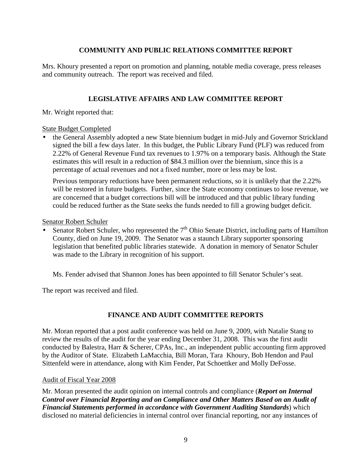## **COMMUNITY AND PUBLIC RELATIONS COMMITTEE REPORT**

Mrs. Khoury presented a report on promotion and planning, notable media coverage, press releases and community outreach. The report was received and filed.

## **LEGISLATIVE AFFAIRS AND LAW COMMITTEE REPORT**

Mr. Wright reported that:

### State Budget Completed

• the General Assembly adopted a new State biennium budget in mid-July and Governor Strickland signed the bill a few days later. In this budget, the Public Library Fund (PLF) was reduced from 2.22% of General Revenue Fund tax revenues to 1.97% on a temporary basis. Although the State estimates this will result in a reduction of \$84.3 million over the biennium, since this is a percentage of actual revenues and not a fixed number, more or less may be lost.

Previous temporary reductions have been permanent reductions, so it is unlikely that the 2.22% will be restored in future budgets. Further, since the State economy continues to lose revenue, we are concerned that a budget corrections bill will be introduced and that public library funding could be reduced further as the State seeks the funds needed to fill a growing budget deficit.

### Senator Robert Schuler

• Senator Robert Schuler, who represented the  $7<sup>th</sup>$  Ohio Senate District, including parts of Hamilton County, died on June 19, 2009. The Senator was a staunch Library supporter sponsoring legislation that benefited public libraries statewide. A donation in memory of Senator Schuler was made to the Library in recognition of his support.

Ms. Fender advised that Shannon Jones has been appointed to fill Senator Schuler's seat.

The report was received and filed.

# **FINANCE AND AUDIT COMMITTEE REPORTS**

Mr. Moran reported that a post audit conference was held on June 9, 2009, with Natalie Stang to review the results of the audit for the year ending December 31, 2008. This was the first audit conducted by Balestra, Harr & Scherer, CPAs, Inc., an independent public accounting firm approved by the Auditor of State. Elizabeth LaMacchia, Bill Moran, Tara Khoury, Bob Hendon and Paul Sittenfeld were in attendance, along with Kim Fender, Pat Schoettker and Molly DeFosse.

## Audit of Fiscal Year 2008

Mr. Moran presented the audit opinion on internal controls and compliance (*Report on Internal Control over Financial Reporting and on Compliance and Other Matters Based on an Audit of Financial Statements performed in accordance with Government Auditing Standards*) which disclosed no material deficiencies in internal control over financial reporting, nor any instances of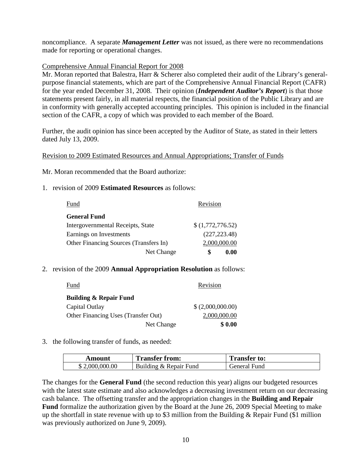noncompliance. A separate *Management Letter* was not issued, as there were no recommendations made for reporting or operational changes.

### Comprehensive Annual Financial Report for 2008

Mr. Moran reported that Balestra, Harr & Scherer also completed their audit of the Library's generalpurpose financial statements, which are part of the Comprehensive Annual Financial Report (CAFR) for the year ended December 31, 2008. Their opinion (*Independent Auditor's Report*) is that those statements present fairly, in all material respects, the financial position of the Public Library and are in conformity with generally accepted accounting principles. This opinion is included in the financial section of the CAFR, a copy of which was provided to each member of the Board.

Further, the audit opinion has since been accepted by the Auditor of State, as stated in their letters dated July 13, 2009.

Revision to 2009 Estimated Resources and Annual Appropriations; Transfer of Funds

Mr. Moran recommended that the Board authorize:

1. revision of 2009 **Estimated Resources** as follows:

| Fund                                   | Revision         |
|----------------------------------------|------------------|
| <b>General Fund</b>                    |                  |
| Intergovernmental Receipts, State      | \$(1,772,776.52) |
| Earnings on Investments                | (227, 223.48)    |
| Other Financing Sources (Transfers In) | 2,000,000.00     |
| Net Change                             | 0.00             |

### 2. revision of the 2009 **Annual Appropriation Resolution** as follows:

| <b>Fund</b>                         |            | Revision          |
|-------------------------------------|------------|-------------------|
| <b>Building &amp; Repair Fund</b>   |            |                   |
| Capital Outlay                      |            | \$ (2,000,000.00) |
| Other Financing Uses (Transfer Out) |            | 2,000,000.00      |
|                                     | Net Change | \$0.00            |

### 3. the following transfer of funds, as needed:

| Amount         | <b>Transfer from:</b>  | <b>Transfer to:</b> |
|----------------|------------------------|---------------------|
| \$2,000,000.00 | Building & Repair Fund | General Fund        |

The changes for the **General Fund** (the second reduction this year) aligns our budgeted resources with the latest state estimate and also acknowledges a decreasing investment return on our decreasing cash balance. The offsetting transfer and the appropriation changes in the **Building and Repair Fund** formalize the authorization given by the Board at the June 26, 2009 Special Meeting to make up the shortfall in state revenue with up to \$3 million from the Building  $&$  Repair Fund (\$1 million was previously authorized on June 9, 2009).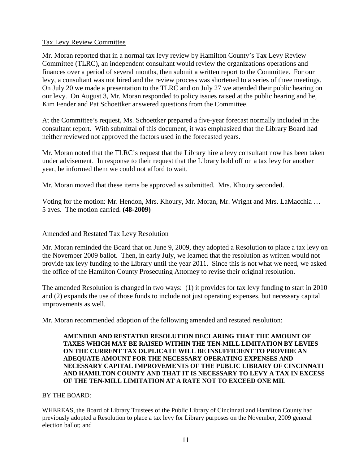### Tax Levy Review Committee

Mr. Moran reported that in a normal tax levy review by Hamilton County's Tax Levy Review Committee (TLRC), an independent consultant would review the organizations operations and finances over a period of several months, then submit a written report to the Committee. For our levy, a consultant was not hired and the review process was shortened to a series of three meetings. On July 20 we made a presentation to the TLRC and on July 27 we attended their public hearing on our levy. On August 3, Mr. Moran responded to policy issues raised at the public hearing and he, Kim Fender and Pat Schoettker answered questions from the Committee.

At the Committee's request, Ms. Schoettker prepared a five-year forecast normally included in the consultant report. With submittal of this document, it was emphasized that the Library Board had neither reviewed not approved the factors used in the forecasted years.

Mr. Moran noted that the TLRC's request that the Library hire a levy consultant now has been taken under advisement. In response to their request that the Library hold off on a tax levy for another year, he informed them we could not afford to wait.

Mr. Moran moved that these items be approved as submitted. Mrs. Khoury seconded.

Voting for the motion: Mr. Hendon, Mrs. Khoury, Mr. Moran, Mr. Wright and Mrs. LaMacchia … 5 ayes. The motion carried. **(48-2009)**

### Amended and Restated Tax Levy Resolution

Mr. Moran reminded the Board that on June 9, 2009, they adopted a Resolution to place a tax levy on the November 2009 ballot. Then, in early July, we learned that the resolution as written would not provide tax levy funding to the Library until the year 2011. Since this is not what we need, we asked the office of the Hamilton County Prosecuting Attorney to revise their original resolution.

The amended Resolution is changed in two ways: (1) it provides for tax levy funding to start in 2010 and (2) expands the use of those funds to include not just operating expenses, but necessary capital improvements as well.

Mr. Moran recommended adoption of the following amended and restated resolution:

#### **AMENDED AND RESTATED RESOLUTION DECLARING THAT THE AMOUNT OF TAXES WHICH MAY BE RAISED WITHIN THE TEN-MILL LIMITATION BY LEVIES ON THE CURRENT TAX DUPLICATE WILL BE INSUFFICIENT TO PROVIDE AN ADEQUATE AMOUNT FOR THE NECESSARY OPERATING EXPENSES AND NECESSARY CAPITAL IMPROVEMENTS OF THE PUBLIC LIBRARY OF CINCINNATI AND HAMILTON COUNTY AND THAT IT IS NECESSARY TO LEVY A TAX IN EXCESS OF THE TEN-MILL LIMITATION AT A RATE NOT TO EXCEED ONE MIL**

### BY THE BOARD:

WHEREAS, the Board of Library Trustees of the Public Library of Cincinnati and Hamilton County had previously adopted a Resolution to place a tax levy for Library purposes on the November, 2009 general election ballot; and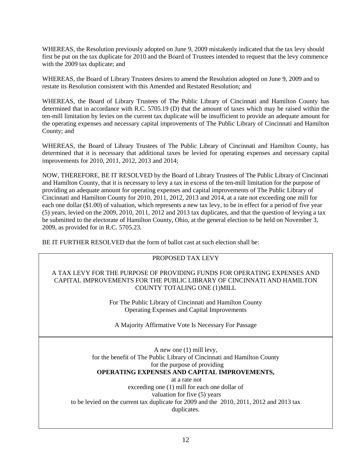WHEREAS, the Resolution previously adopted on June 9, 2009 mistakenly indicated that the tax levy should first be put on the tax duplicate for 2010 and the Board of Trustees intended to request that the levy commence with the 2009 tax duplicate; and

WHEREAS, the Board of Library Trustees desires to amend the Resolution adopted on June 9, 2009 and to restate its Resolution consistent with this Amended and Restated Resolution; and

WHEREAS, the Board of Library Trustees of The Public Library of Cincinnati and Hamilton County has determined that in accordance with R.C. 5705.19 (D) that the amount of taxes which may be raised within the ten-mill limitation by levies on the current tax duplicate will be insufficient to provide an adequate amount for the operating expenses and necessary capital improvements of The Public Library of Cincinnati and Hamilton County; and

WHEREAS, the Board of Library Trustees of The Public Library of Cincinnati and Hamilton County, has determined that it is necessary that additional taxes be levied for operating expenses and necessary capital improvements for 2010, 2011, 2012, 2013 and 2014;

NOW, THEREFORE, BE IT RESOLVED by the Board of Library Trustees of The Public Library of Cincinnati and Hamilton County, that it is necessary to levy a tax in excess of the ten-mill limitation for the purpose of providing an adequate amount for operating expenses and capital improvements of The Public Library of Cincinnati and Hamilton County for 2010, 2011, 2012, 2013 and 2014, at a rate not exceeding one mill for each one dollar (\$1.00) of valuation, which represents a new tax levy, to be in effect for a period of five year (5) years, levied on the 2009, 2010, 2011, 2012 and 2013 tax duplicates, and that the question of levying a tax be submitted to the electorate of Hamilton County, Ohio, at the general election to be held on November 3, 2009, as provided for in R.C. 5705.23.

BE IT FURTHER RESOLVED that the form of ballot cast at such election shall be:

## PROPOSED TAX LEVY

A TAX LEVY FOR THE PURPOSE OF PROVIDING FUNDS FOR OPERATING EXPENSES AND CAPITAL IMPROVEMENTS FOR THE PUBLIC LIBRARY OF CINCINNATI AND HAMILTON COUNTY TOTALING ONE (1)MILL

> For The Public Library of Cincinnati and Hamilton County Operating Expenses and Capital Improvements

A Majority Affirmative Vote Is Necessary For Passage

A new one (1) mill levy, for the benefit of The Public Library of Cincinnati and Hamilton County for the purpose of providing **OPERATING EXPENSES AND CAPITAL IMPROVEMENTS,**  at a rate not

exceeding one (1) mill for each one dollar of valuation for five (5) years to be levied on the current tax duplicate for 2009 and the 2010, 2011, 2012 and 2013 tax duplicates.